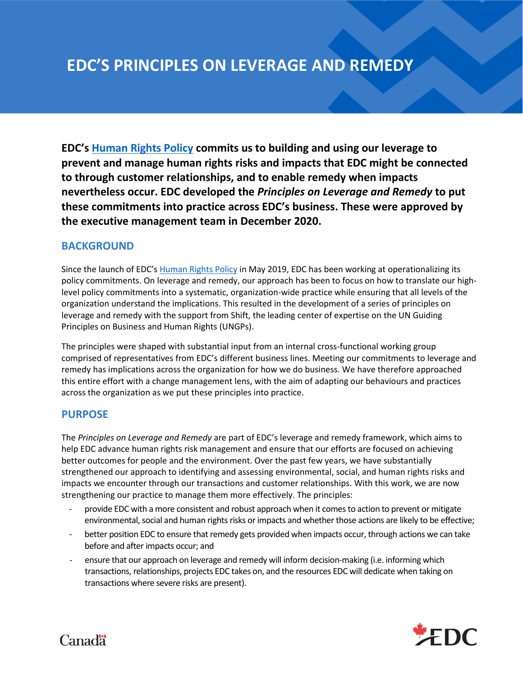# **EDC'S PRINCIPLES ON LEVERAGE AND REMEDY**

**EDC's [Human Rights Policy](https://www.edc.ca/content/dam/edc/en/corporate/corporate-social-responsibility/environment-people/human-rights-policy.pdf) commits us to building and using our leverage to prevent and manage human rights risks and impacts that EDC might be connected to through customer relationships, and to enable remedy when impacts nevertheless occur. EDC developed the** *Principles on Leverage and Remedy* **to put these commitments into practice across EDC's business. These were approved by the executive management team in December 2020.** 

# **BACKGROUND**

Since the launch of EDC's [Human Rights Policy](https://www.edc.ca/content/dam/edc/en/corporate/corporate-social-responsibility/environment-people/human-rights-policy.pdf) in May 2019, EDC has been working at operationalizing its policy commitments. On leverage and remedy, our approach has been to focus on how to translate our highlevel policy commitments into a systematic, organization-wide practice while ensuring that all levels of the organization understand the implications. This resulted in the development of a series of principles on leverage and remedy with the support from Shift, the leading center of expertise on the UN Guiding Principles on Business and Human Rights (UNGPs).

The principles were shaped with substantial input from an internal cross-functional working group comprised of representatives from EDC's different business lines. Meeting our commitments to leverage and remedy has implications across the organization for how we do business. We have therefore approached this entire effort with a change management lens, with the aim of adapting our behaviours and practices across the organization as we put these principles into practice.

## **PURPOSE**

The *Principles on Leverage and Remedy* are part of EDC's leverage and remedy framework, which aims to help EDC advance human rights risk management and ensure that our efforts are focused on achieving better outcomes for people and the environment. Over the past few years, we have substantially strengthened our approach to identifying and assessing environmental, social, and human rights risks and impacts we encounter through our transactions and customer relationships. With this work, we are now strengthening our practice to manage them more effectively. The principles:

- provide EDC with a more consistent and robust approach when it comes to action to prevent or mitigate environmental, social and human rights risks or impacts and whether those actions are likely to be effective;
- better position EDC to ensure that remedy gets provided when impacts occur, through actions we can take before and after impacts occur; and
- ensure that our approach on leverage and remedy will inform decision-making (i.e. informing which transactions, relationships, projects EDC takes on, and the resources EDC will dedicate when taking on transactions where severe risks are present).



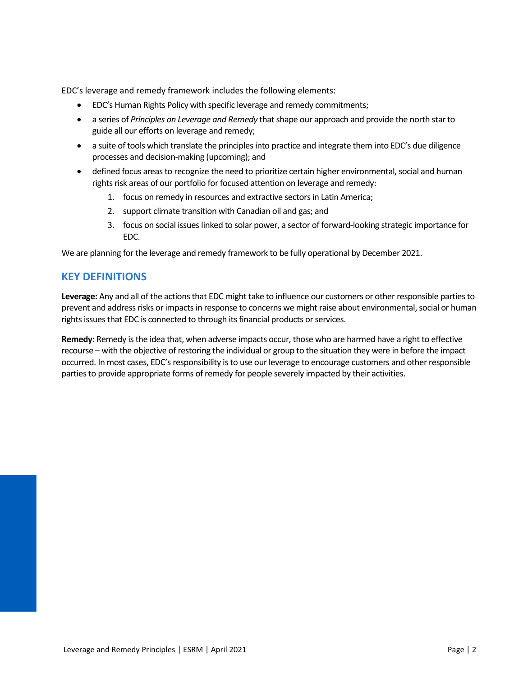EDC's leverage and remedy framework includes the following elements:

- EDC's Human Rights Policy with specific leverage and remedy commitments;
- a series of *Principles on Leverage and Remedy* that shape our approach and provide the north star to guide all our efforts on leverage and remedy;
- a suite of tools which translate the principles into practice and integrate them into EDC's due diligence processes and decision-making (upcoming); and
- defined focus areasto recognize the need to prioritize certain higher environmental, social and human rights risk areas of our portfolio for focused attention on leverage and remedy:
	- 1. focus on remedy in resources and extractive sectors in Latin America;
	- 2. support climate transition with Canadian oil and gas; and
	- 3. focus on social issues linked to solar power, a sector of forward-looking strategic importance for EDC.

We are planning for the leverage and remedy framework to be fully operational by December 2021.

## **KEY DEFINITIONS**

**Leverage:** Any and all of the actions that EDC might take to influence our customers or other responsible parties to prevent and address risks or impacts in response to concerns we might raise about environmental, social or human rights issues that EDC is connected to through its financial products or services.

**Remedy:** Remedy is the idea that, when adverse impacts occur, those who are harmed have a right to effective recourse – with the objective of restoring the individual or group to the situation they were in before the impact occurred. In most cases, EDC's responsibility is to use our leverage to encourage customers and other responsible parties to provide appropriate forms of remedy for people severely impacted by their activities.